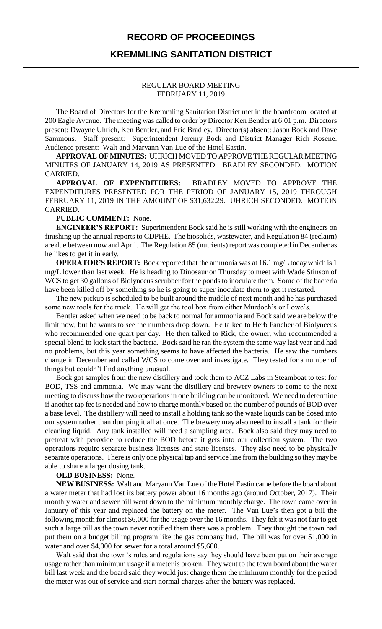## **RECORD OF PROCEEDINGS**

## **KREMMLING SANITATION DISTRICT**

#### REGULAR BOARD MEETING FEBRUARY 11, 2019

The Board of Directors for the Kremmling Sanitation District met in the boardroom located at 200 Eagle Avenue. The meeting was called to order by Director Ken Bentler at 6:01 p.m. Directors present: Dwayne Uhrich, Ken Bentler, and Eric Bradley. Director(s) absent: Jason Bock and Dave Sammons. Staff present: Superintendent Jeremy Bock and District Manager Rich Rosene. Audience present: Walt and Maryann Van Lue of the Hotel Eastin.

**APPROVAL OF MINUTES:** UHRICH MOVED TO APPROVE THE REGULAR MEETING MINUTES OF JANUARY 14, 2019 AS PRESENTED. BRADLEY SECONDED. MOTION CARRIED.

**APPROVAL OF EXPENDITURES:** BRADLEY MOVED TO APPROVE THE EXPENDITURES PRESENTED FOR THE PERIOD OF JANUARY 15, 2019 THROUGH FEBRUARY 11, 2019 IN THE AMOUNT OF \$31,632.29. UHRICH SECONDED. MOTION CARRIED.

#### **PUBLIC COMMENT:** None.

**ENGINEER'S REPORT:** Superintendent Bock said he is still working with the engineers on finishing up the annual reports to CDPHE. The biosolids, wastewater, and Regulation 84 (reclaim) are due between now and April. The Regulation 85 (nutrients) report was completed in December as he likes to get it in early.

**OPERATOR'S REPORT:** Bock reported that the ammonia was at 16.1 mg/L today which is 1 mg/L lower than last week. He is heading to Dinosaur on Thursday to meet with Wade Stinson of WCS to get 30 gallons of Biolynceus scrubber for the ponds to inoculate them. Some of the bacteria have been killed off by something so he is going to super inoculate them to get it restarted.

The new pickup is scheduled to be built around the middle of next month and he has purchased some new tools for the truck. He will get the tool box from either Murdoch's or Lowe's.

Bentler asked when we need to be back to normal for ammonia and Bock said we are below the limit now, but he wants to see the numbers drop down. He talked to Herb Fancher of Biolynceus who recommended one quart per day. He then talked to Rick, the owner, who recommended a special blend to kick start the bacteria. Bock said he ran the system the same way last year and had no problems, but this year something seems to have affected the bacteria. He saw the numbers change in December and called WCS to come over and investigate. They tested for a number of things but couldn't find anything unusual.

Bock got samples from the new distillery and took them to ACZ Labs in Steamboat to test for BOD, TSS and ammonia. We may want the distillery and brewery owners to come to the next meeting to discuss how the two operations in one building can be monitored. We need to determine if another tap fee is needed and how to charge monthly based on the number of pounds of BOD over a base level. The distillery will need to install a holding tank so the waste liquids can be dosed into our system rather than dumping it all at once. The brewery may also need to install a tank for their cleaning liquid. Any tank installed will need a sampling area. Bock also said they may need to pretreat with peroxide to reduce the BOD before it gets into our collection system. The two operations require separate business licenses and state licenses. They also need to be physically separate operations. There is only one physical tap and service line from the building so they may be able to share a larger dosing tank.

### **OLD BUSINESS:** None.

**NEW BUSINESS:** Walt and Maryann Van Lue of the Hotel Eastin came before the board about a water meter that had lost its battery power about 16 months ago (around October, 2017). Their monthly water and sewer bill went down to the minimum monthly charge. The town came over in January of this year and replaced the battery on the meter. The Van Lue's then got a bill the following month for almost \$6,000 for the usage over the 16 months. They felt it was not fair to get such a large bill as the town never notified them there was a problem. They thought the town had put them on a budget billing program like the gas company had. The bill was for over \$1,000 in water and over \$4,000 for sewer for a total around \$5,600.

Walt said that the town's rules and regulations say they should have been put on their average usage rather than minimum usage if a meter is broken. They went to the town board about the water bill last week and the board said they would just charge them the minimum monthly for the period the meter was out of service and start normal charges after the battery was replaced.